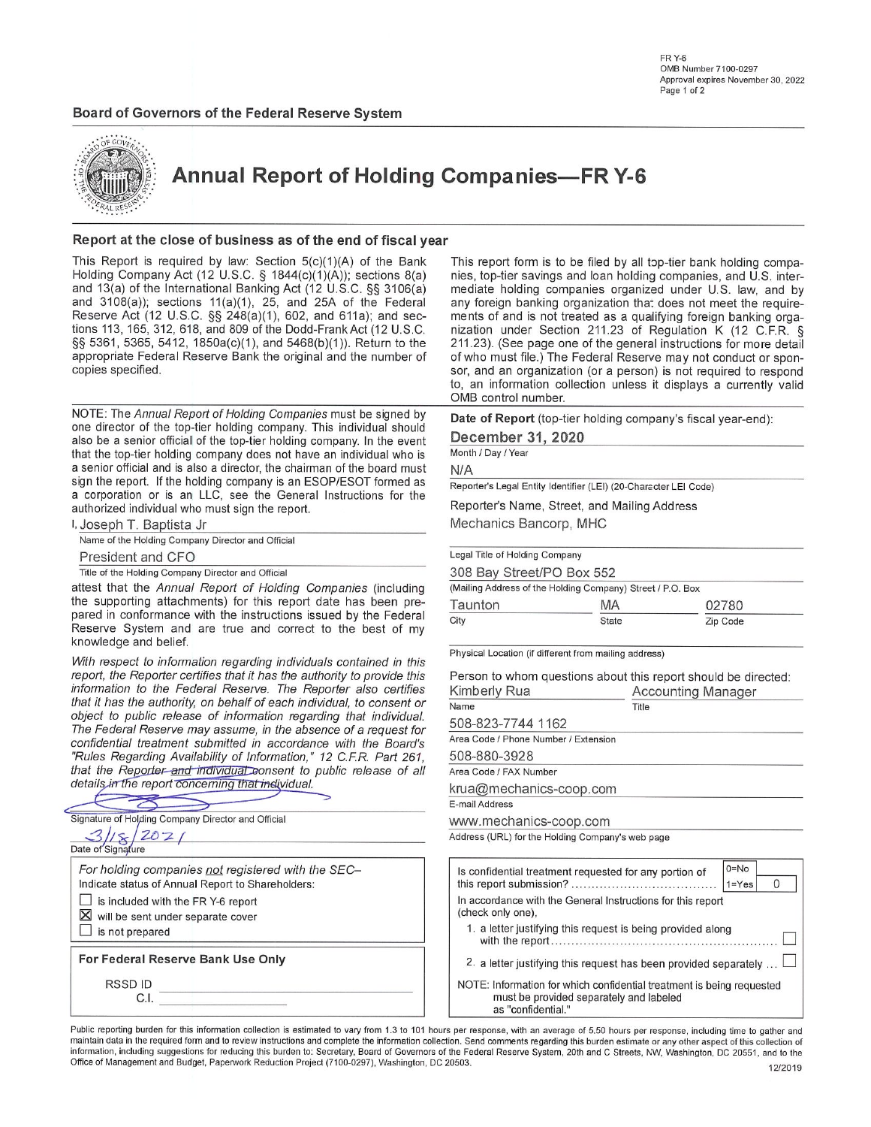FR Y-6 **OMB Number 7100-0297** Approval expires November 30, 2022 Page 1 of 2

#### Board of Governors of the Federal Reserve System



**Annual Report of Holding Companies-FR Y-6** 

#### Report at the close of business as of the end of fiscal year

This Report is required by law: Section  $5(c)(1)(A)$  of the Bank Holding Company Act (12 U.S.C. § 1844(c)(1)(A)); sections 8(a) and 13(a) of the International Banking Act (12 U.S.C. §§ 3106(a) and  $3108(a)$ ); sections  $11(a)(1)$ ,  $25$ , and  $25A$  of the Federal Reserve Act (12 U.S.C. §§ 248(a)(1), 602, and 611a); and sections 113, 165, 312, 618, and 809 of the Dodd-Frank Act (12 U.S.C. §§ 5361, 5365, 5412, 1850a(c)(1), and 5468(b)(1)). Return to the appropriate Federal Reserve Bank the original and the number of copies specified.

NOTE: The Annual Report of Holding Companies must be signed by one director of the top-tier holding company. This individual should also be a senior official of the top-tier holding company. In the event that the top-tier holding company does not have an individual who is a senior official and is also a director, the chairman of the board must sign the report. If the holding company is an ESOP/ESOT formed as a corporation or is an LLC, see the General Instructions for the authorized individual who must sign the report.

| I, Joseph T. Baptista Jr                           |  |
|----------------------------------------------------|--|
| Name of the Holding Company Director and Official  |  |
| President and CFO                                  |  |
| Title of the Holding Company Director and Official |  |

 $\Rightarrow$ 

attest that the Annual Report of Holding Companies (including the supporting attachments) for this report date has been prepared in conformance with the instructions issued by the Federal Reserve System and are true and correct to the best of my knowledge and belief.

With respect to information regarding individuals contained in this report, the Reporter certifies that it has the authority to provide information to the Federal Reserve. The Reporter also cen that it has the authority, on behalf of each individual, to conset object to public release of information regarding that individ The Federal Reserve may assume, in the absence of a reques confidential treatment submitted in accordance with the Boa "Rules Regarding Availability of Information," 12 C.F.R. Part that the Reporter and individual consent to public release of details in the report concerning that individual.

| Signature of Holding Company Director and Official                                                      |
|---------------------------------------------------------------------------------------------------------|
| Date of Signature                                                                                       |
| For holding companies not registered with the SEC-<br>Indicate status of Annual Report to Shareholders: |
| is included with the FR Y-6 report                                                                      |
| $\boxtimes$ will be sent under separate cover<br>is not prepared                                        |
| For Federal Reserve Bank Use Only                                                                       |
| <b>RSSDID</b><br>CΠ                                                                                     |
|                                                                                                         |

This report form is to be filed by all top-tier bank holding companies, top-tier savings and loan holding companies, and U.S. intermediate holding companies organized under U.S. law, and by any foreign banking organization that does not meet the requirements of and is not treated as a qualifying foreign banking organization under Section 211.23 of Regulation K (12 C.F.R. § 211.23). (See page one of the general instructions for more detail of who must file.) The Federal Reserve may not conduct or sponsor, and an organization (or a person) is not required to respond to, an information collection unless it displays a currently valid OMB control number.

Date of Report (top-tier holding company's fiscal year-end):

December 31, 2020

Month / Day / Year

 $N/A$ 

Reporter's Legal Entity Identifier (LEI) (20-Character LEI Code)

Reporter's Name, Street, and Mailing Address

Mechanics Bancorp, MHC

| Legal Title of Holding Company |                                                            |          |
|--------------------------------|------------------------------------------------------------|----------|
| 308 Bay Street/PO Box 552      |                                                            |          |
|                                | (Mailing Address of the Holding Company) Street / P.O. Box |          |
| Taunton                        | MA                                                         | 02780    |
| City                           | <b>State</b>                                               | Zip Code |

Physical Location (if different from mailing address)

| Person to whom questions about this report should be directed:<br>Kimberly Rua<br><b>Accounting Manager</b> |                                                                  |  |  |  |  |  |  |
|-------------------------------------------------------------------------------------------------------------|------------------------------------------------------------------|--|--|--|--|--|--|
| Name                                                                                                        | Title                                                            |  |  |  |  |  |  |
| 508-823-7744 1162                                                                                           |                                                                  |  |  |  |  |  |  |
| Area Code / Phone Number / Extension                                                                        |                                                                  |  |  |  |  |  |  |
| 508-880-3928                                                                                                |                                                                  |  |  |  |  |  |  |
| Area Code / FAX Number                                                                                      |                                                                  |  |  |  |  |  |  |
| krua@mechanics-coop.com                                                                                     |                                                                  |  |  |  |  |  |  |
| E-mail Address                                                                                              |                                                                  |  |  |  |  |  |  |
| www.mechanics-coop.com                                                                                      |                                                                  |  |  |  |  |  |  |
| Address (URL) for the Holding Company's web page                                                            |                                                                  |  |  |  |  |  |  |
| Is confidential treatment requested for any portion of                                                      | $0 = No$                                                         |  |  |  |  |  |  |
|                                                                                                             | $1 = Yes$<br>O                                                   |  |  |  |  |  |  |
| In accordance with the General Instructions for this report<br>(check only one),                            |                                                                  |  |  |  |  |  |  |
| 1. a letter justifying this request is being provided along                                                 |                                                                  |  |  |  |  |  |  |
|                                                                                                             | 2. a letter justifying this request has been provided separately |  |  |  |  |  |  |

NOTE: Information for which confidential treatment is being requested must be provided separately and labeled as "confidential."

Public reporting burden for this information collection is estimated to vary from 1.3 to 101 hours per response, with an average of 5.50 hours per response, including time to gather and maintain data in the required form and to review instructions and complete the information collection. Send comments regarding this burden estimate or any other aspect of this collection of information, including suggestions for reducing this burden to: Secretary, Board of Governors of the Federal Reserve System, 20th and C Streets, NW, Washington, DC 20551, and to the Office of Management and Budget, Paperwork Reduction Project (7100-0297), Washington, DC 20503.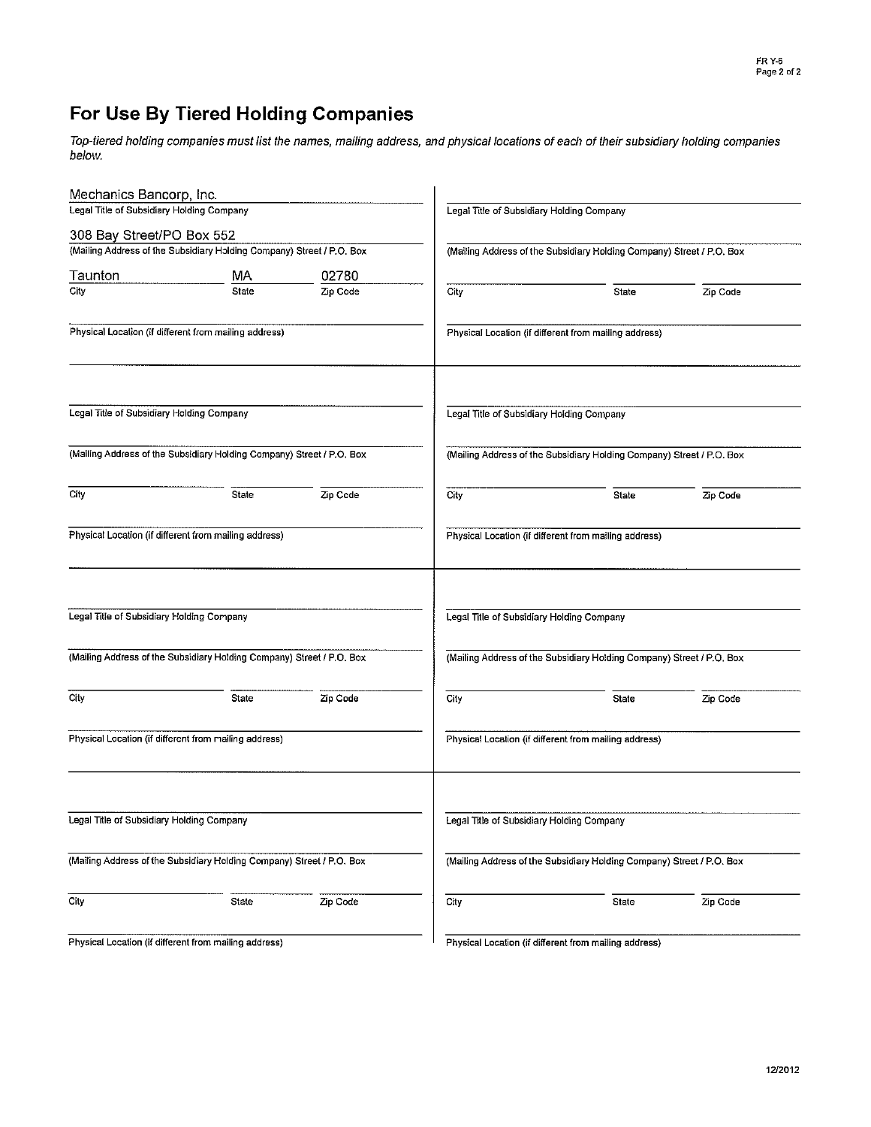# For Use By Tiered Holding Companies

Top-tiered holding companies must list the names, mailing address, and physical locations of each of their subsidiary holding companies below.

| Mechanics Bancorp, Inc.                   |                                                                       |          |                                           |                                                                       |          |  |  |  |  |
|-------------------------------------------|-----------------------------------------------------------------------|----------|-------------------------------------------|-----------------------------------------------------------------------|----------|--|--|--|--|
| Legal Title of Subsidiary Holding Company |                                                                       |          | Legal Title of Subsidiary Holding Company |                                                                       |          |  |  |  |  |
| 308 Bay Street/PO Box 552                 |                                                                       |          |                                           |                                                                       |          |  |  |  |  |
|                                           | (Mailing Address of the Subsidiary Holding Company) Street / P.O. Box |          |                                           | (Mailing Address of the Subsidiary Holding Company) Street / P.O. Box |          |  |  |  |  |
| Taunton                                   | MA                                                                    | 02780    |                                           |                                                                       |          |  |  |  |  |
| City                                      | State                                                                 | Zip Code | City                                      | State                                                                 | Zip Code |  |  |  |  |
|                                           | Physical Location (if different from mailing address)                 |          |                                           | Physical Location (if different from mailing address)                 |          |  |  |  |  |
| Legal Title of Subsidiary Holding Company |                                                                       |          | Legal Title of Subsidiary Holding Company |                                                                       |          |  |  |  |  |
|                                           | (Mailing Address of the Subsidiary Holding Company) Street / P.O. Box |          |                                           | (Mailing Address of the Subsidiary Holding Company) Street / P.O. Box |          |  |  |  |  |
| City                                      | State                                                                 | Zip Code | City                                      | <b>State</b>                                                          | Zip Code |  |  |  |  |
|                                           | Physical Location (if different from mailing address)                 |          |                                           | Physical Location (if different from mailing address)                 |          |  |  |  |  |
| Legal Title of Subsidiary Holding Company |                                                                       |          | Legal Title of Subsidiary Holding Company |                                                                       |          |  |  |  |  |
|                                           | (Mailing Address of the Subsidiary Holding Company) Street / P.O. Box |          |                                           | (Mailing Address of the Subsidiary Holding Company) Street / P.O. Box |          |  |  |  |  |
| City                                      | State                                                                 | Zip Code | City                                      | State                                                                 | Zip Code |  |  |  |  |
|                                           | Physical Location (if different from mailing address)                 |          |                                           | Physical Location (if different from mailing address)                 |          |  |  |  |  |
| Legal Title of Subsidiary Holding Company |                                                                       |          | Legal Title of Subsidiary Holding Company |                                                                       |          |  |  |  |  |
|                                           | (Mailing Address of the Subsidiary Holding Company) Street / P.O. Box |          |                                           | (Mailing Address of the Subsidiary Holding Company) Street / P.O. Box |          |  |  |  |  |
| City                                      | State                                                                 | Zip Code | City                                      | State                                                                 | Zip Code |  |  |  |  |
|                                           | Physical Location (if different from mailing address)                 |          |                                           | Physical Location (if different from mailing address)                 |          |  |  |  |  |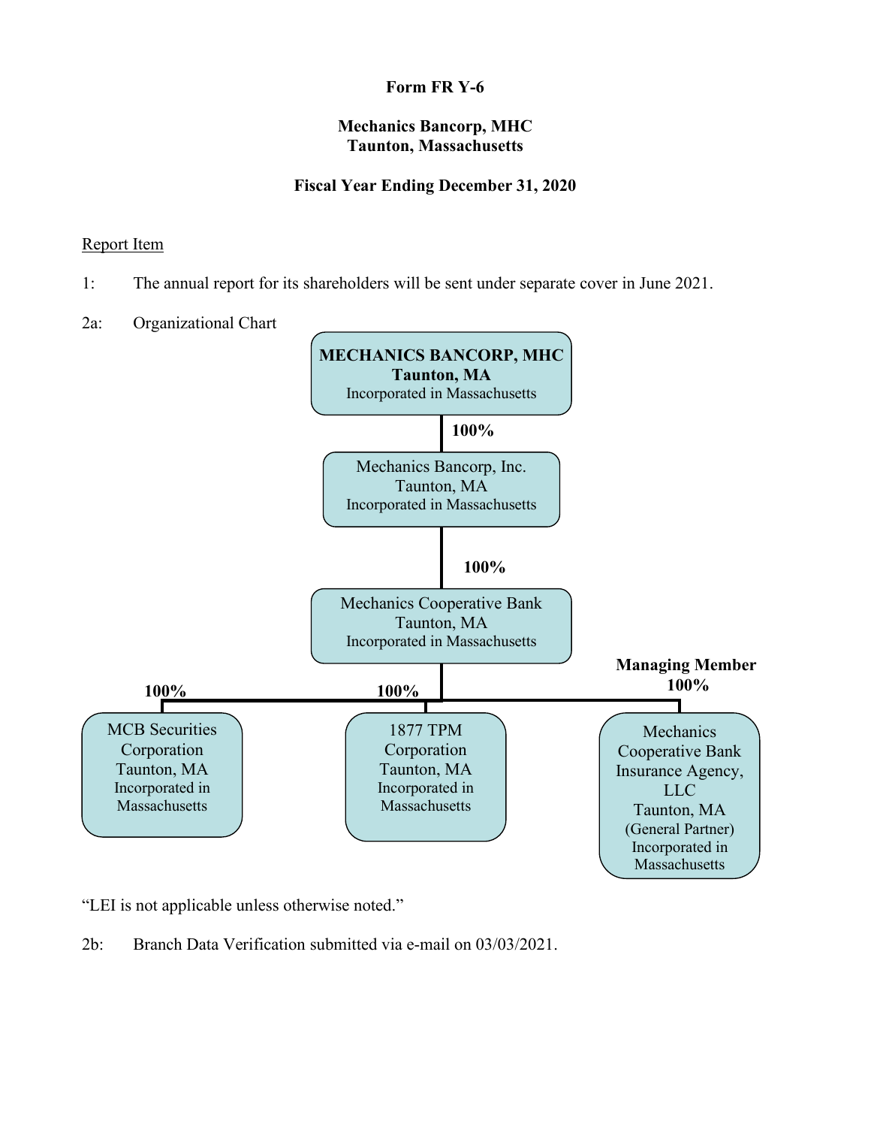# **Mechanics Bancorp, MHC Taunton, Massachusetts**

# **Fiscal Year Ending December 31, 2020**

## Report Item

- 1: The annual report for its shareholders will be sent under separate cover in June 2021.
- 2a: Organizational Chart



"LEI is not applicable unless otherwise noted."

2b: Branch Data Verification submitted via e-mail on 03/03/2021.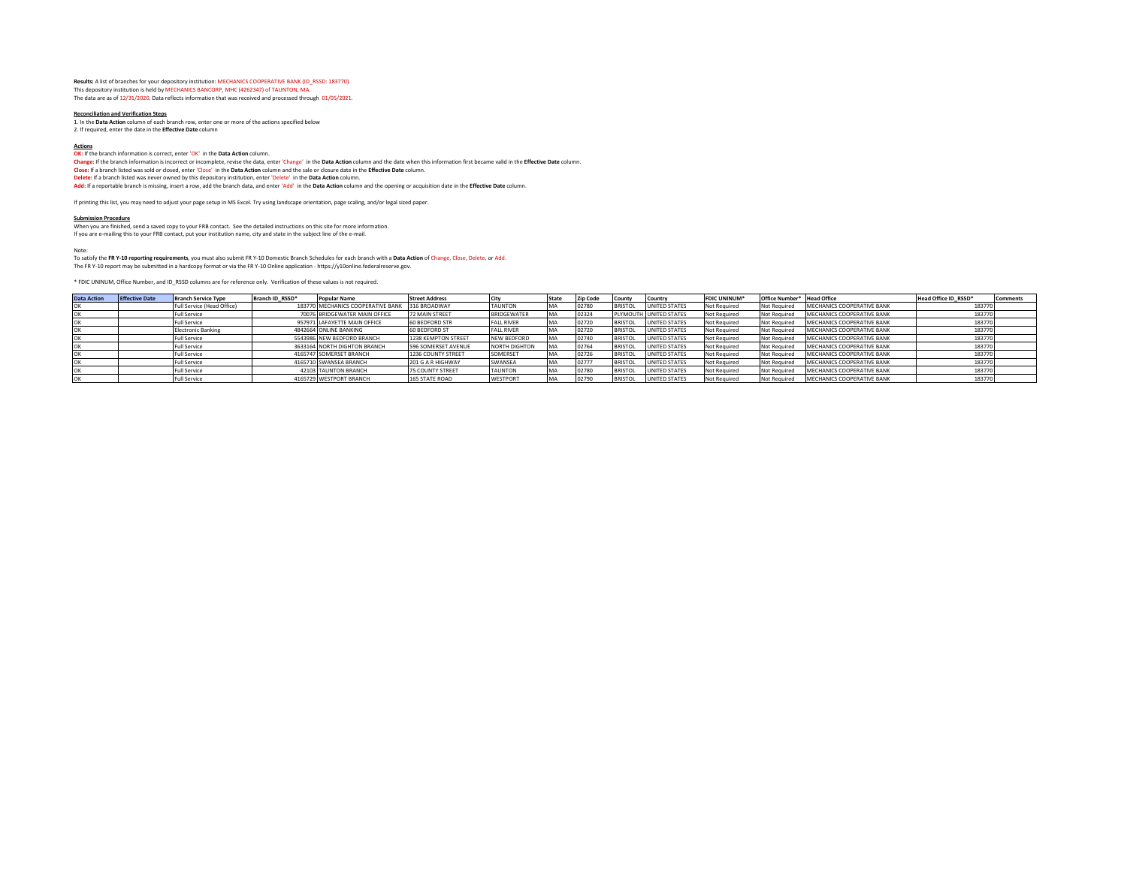**Results:** A list of branches for your depository institution: MECHANICS COOPERATIVE BANK (ID\_RSSD: 183770). This depository institution is held by MECHANICS BANCORP, MHC (4262347) of TAUNTON, MA. The data are as of 12/31/2020. Data reflects information that was received and processed through 01/05/2021.

**Reconciliation and Verification Steps** 1. In the **Data Action** column of each branch row, enter one or more of the actions specified below 2. If required, enter the date in the **Effective Date** column

#### **Actions**

**OK:** If the branch information is correct, enter 'OK' in the **Data Action** column.

**Change:** If the branch information is incorrect or incomplete, revise the data, enter 'Change' in the **Data Action** column and the date when this information first became valid in the **Effective Date** column.

**Close**: If a branch listed was sold or closed, enter 'Close' in the **Data Action** column and the sale or closure date in the Effe**ctive Date** column.<br><mark>Delete</mark>: If a branch listed was never owned by this depository institu

**Add:** If a reportable branch is missing, insert a row, add the branch data, and enter 'Add' in the **Data Action** column and the opening or acquisition date in the **Effective Date** column.

If printing this list, you may need to adjust your page setup in MS Excel. Try using landscape orientation, page scaling, and/or legal sized paper.

**Submission Procedure** When you are finished, send a saved copy to your FRB contact. See the detailed instructions on this site for more information. If you are e-mailing this to your FRB contact, put your institution name, city and state in the subject line of the e-mail.

Note:

To satisfy the **FR Y-10 reporting requirements**, you must also submit FR Y-10 Domestic Branch Schedules for each branch with a **Data Action** of Change, Close, Delete, or Add. The FR Y-10 report may be submitted in a hardcopy format or via the FR Y-10 Online application - https://y10online.federalreserve.gov.

\* FDIC UNINUM, Office Number, and ID\_RSSD columns are for reference only. Verification of these values is not required.

| <b>Data Action</b> | <b>Effective Date</b> | <b>Branch Service Type</b> | Branch ID RSSD*<br><b>Popular Name</b>         | <b>Street Address</b> |                    | State | <b>Zip Code</b> | County         | Country                | <b>FDIC UNINUM</b> | Office Number* Head Office |                            | Head Office ID RSSD* | Comments |
|--------------------|-----------------------|----------------------------|------------------------------------------------|-----------------------|--------------------|-------|-----------------|----------------|------------------------|--------------------|----------------------------|----------------------------|----------------------|----------|
|                    |                       | Full Service (Head Office) | 183770 MECHANICS COOPERATIVE BANK 316 BROADWAY |                       | <b>TAUNTON</b>     |       | 02780           | <b>BRISTOL</b> | UNITED STATES          | Not Required       | Not Required               | MECHANICS COOPERATIVE BANK | 183770               |          |
|                    |                       | <b>Full Service</b>        | 70076 BRIDGEWATER MAIN OFFICE                  | 72 MAIN STREET        | <b>BRIDGEWATER</b> | MΔ    | 02324           |                | PLYMOUTH UNITED STATES | Not Required       | Not Required               | MECHANICS COOPERATIVE BANK | 183770               |          |
|                    |                       | <b>Full Service</b>        | 957971 LAFAYETTE MAIN OFFICE                   | 60 BEDFORD STR        | <b>FALL RIVER</b>  |       | 02720           | <b>BRISTOL</b> | UNITED STATES          | Not Required       | Not Required               | MECHANICS COOPERATIVE BANK | 183770               |          |
|                    |                       | <b>Electronic Banking</b>  | 4842664 ONLINE BANKING                         | 60 BEDFORD ST         | <b>FALL RIVER</b>  | MA    | 02720           | <b>BRISTOL</b> | UNITED STATES          | Not Required       | Not Required               | MECHANICS COOPERATIVE BANK | 183770               |          |
|                    |                       | <b>Full Service</b>        | 5543986 NEW BEDFORD BRANCH                     | 1238 KEMPTON STREET   | <b>NEW BEDFORD</b> | MA    | 02740           | <b>BRISTOL</b> | UNITED STATES          | Not Required       | Not Required               | MECHANICS COOPERATIVE BANK | 183770               |          |
|                    |                       | <b>Full Service</b>        | 3633164 NORTH DIGHTON BRANCH                   | 596 SOMERSET AVENUE   | NORTH DIGHTON      | MA    | 02764           | <b>BRISTOL</b> | UNITED STATES          | Not Required       | Not Required               | MECHANICS COOPERATIVE BANK | 183770               |          |
|                    |                       | <b>Full Service</b>        | 4165747 SOMERSET BRANCH                        | 1236 COUNTY STREET    | SOMERSET           |       | 02726           | <b>BRISTOL</b> | UNITED STATES          | Not Required       | Not Required               | MECHANICS COOPERATIVE BANK | 183770               |          |
|                    |                       | Full Service               | 4165710 SWANSEA BRANCH                         | 201 G A R HIGHWAY     | SWANSEA            | MA    | 02777           | <b>BRISTOL</b> | UNITED STATES          | Not Required       | Not Required               | MECHANICS COOPERATIVE BANK | 183770               |          |
|                    |                       | Full Service               | 42103 TAUNTON BRANCH                           | 75 COUNTY STREET      | <b>TAUNTON</b>     | MA    | 02780           | <b>BRISTOL</b> | UNITED STATES          | Not Required       | Not Required               | MECHANICS COOPERATIVE BANK | 183770               |          |
|                    |                       | <b>Full Service</b>        | 4165729 WESTPORT BRANCH                        | <b>165 STATE ROAD</b> | <b>WESTPORT</b>    | MA    | 02790           | <b>BRISTOL</b> | UNITED STATES          | Not Required       | Not Required               | MECHANICS COOPERATIVE BANK | 183770               |          |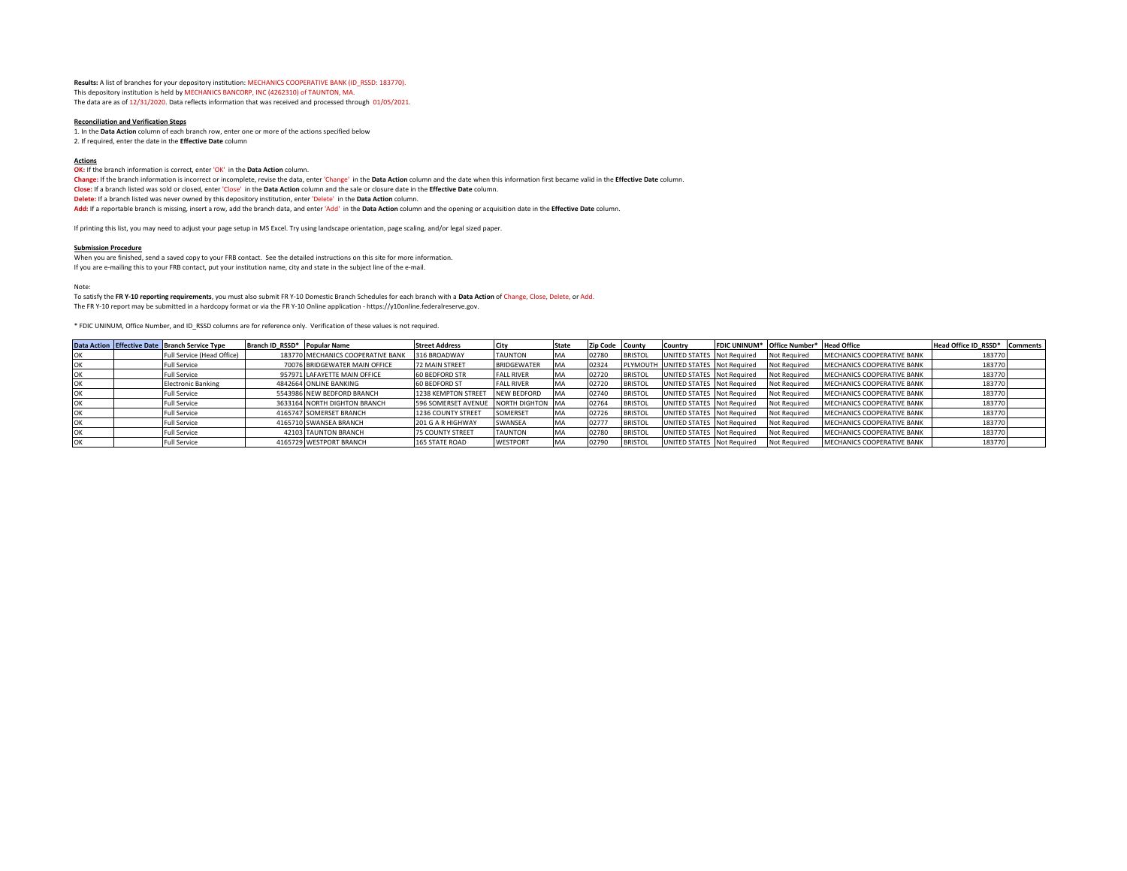**Results:** A list of branches for your depository institution: MECHANICS COOPERATIVE BANK (ID\_RSSD: 183770). This depository institution is held by MECHANICS BANCORP, INC (4262310) of TAUNTON, MA. The data are as of 12/31/2020. Data reflects information that was received and processed through 01/05/2021.

#### **Reconciliation and Verification Steps**

1. In the **Data Action** column of each branch row, enter one or more of the actions specified below 2. If required, enter the date in the **Effective Date** column

**Actions OK:** If the branch information is correct, enter 'OK' in the **Data Action** column. **Change:** If the branch information is incorrect or incomplete, revise the data, enter 'Change' in the **Data Action** column and the date when this information first became valid in the **Effective Date** column. **Close:** If a branch listed was sold or closed, enter 'Close' in the **Data Action** column and the sale or closure date in the **Effective Date** column. **Delete:** If a branch listed was never owned by this depository institution, enter 'Delete' in the **Data Action** column. **Add:** If a reportable branch is missing, insert a row, add the branch data, and enter 'Add' in the **Data Action** column and the opening or acquisition date in the **Effective Date** column.

If printing this list, you may need to adjust your page setup in MS Excel. Try using landscape orientation, page scaling, and/or legal sized paper.

#### **Submission Procedure**

When you are finished, send a saved copy to your FRB contact. See the detailed instructions on this site for more information. If you are e-mailing this to your FRB contact, put your institution name, city and state in the subject line of the e-mail.

Note:

To satisfy the **FR Y-10 reporting requirements**, you must also submit FR Y-10 Domestic Branch Schedules for each branch with a **Data Action** of Change, Close, Delete, or Add. The FR Y-10 report may be submitted in a hardcopy format or via the FR Y-10 Online application - https://y10online.federalreserve.gov.

\* FDIC UNINUM, Office Number, and ID\_RSSD columns are for reference only. Verification of these values is not required.

|  | Data Action Effective Date Branch Service Type | Branch ID RSSD* Popular Name |                                   | <b>Street Address</b>   | City               | <b>State</b> | Zip Code County |                | Country                             | FDIC UNINUM* Office Number* Head Office |                            | Head Office ID RSSD* | <b>Comments</b> |
|--|------------------------------------------------|------------------------------|-----------------------------------|-------------------------|--------------------|--------------|-----------------|----------------|-------------------------------------|-----------------------------------------|----------------------------|----------------------|-----------------|
|  | Full Service (Head Office)                     |                              | 183770 MECHANICS COOPERATIVE BANK | 316 BROADWAY            | <b>TAUNTON</b>     |              | 02780           | <b>BRISTOL</b> | UNITED STATES Not Required          | Not Required                            | MECHANICS COOPERATIVE BANK | 183770               |                 |
|  | Full Service                                   |                              | 70076 BRIDGEWATER MAIN OFFICE     | <b>72 MAIN STREET</b>   | BRIDGEWATER        | MA           | 02324           |                | PLYMOUTH UNITED STATES Not Required | Not Required                            | MECHANICS COOPERATIVE BANK | 183770               |                 |
|  | <b>Full Service</b>                            |                              | 957971 LAFAYETTE MAIN OFFICE      | <b>60 BEDFORD STR</b>   | <b>FALL RIVER</b>  | <b>MA</b>    | 02720           | <b>BRISTOL</b> | JNITED STATES Not Required          | <b>Not Required</b>                     | MECHANICS COOPERATIVE BANK | 183770               |                 |
|  | <b>Electronic Banking</b>                      |                              | 4842664 ONLINE BANKING            | 60 BEDFORD ST           | <b>FALL RIVER</b>  | <b>MA</b>    | 02720           | <b>BRISTOL</b> | UNITED STATES Not Required          | Not Required                            | MECHANICS COOPERATIVE BANK | 183770               |                 |
|  | <b>Full Service</b>                            |                              | 5543986 NEW BEDFORD BRANCH        | 1238 KEMPTON STREET     | <b>NEW BEDFORD</b> | <b>IMA</b>   | 02740           | <b>BRISTOL</b> | UNITED STATES Not Required          | Not Required                            | MECHANICS COOPERATIVE BANK | 183770               |                 |
|  | Full Service                                   |                              | 3633164 NORTH DIGHTON BRANCH      | 596 SOMERSET AVENUE     | NORTH DIGHTON MA   |              | 02764           | <b>BRISTOL</b> | UNITED STATES Not Required          | Not Required                            | MECHANICS COOPERATIVE BANK | 183770               |                 |
|  | <b>Full Service</b>                            |                              | 4165747 SOMERSET BRANCH           | 1236 COUNTY STREET      | SOMERSET           | <b>MA</b>    | 02726           | <b>BRISTOL</b> | UNITED STATES Not Required          | Not Required                            | MECHANICS COOPERATIVE BANK | 183770               |                 |
|  | <b>Full Service</b>                            |                              | 4165710 SWANSEA BRANCH            | 201 G A R HIGHWAY       | SWANSEA            | <b>MA</b>    | 02777           | <b>BRISTOL</b> | UNITED STATES Not Required          | Not Required                            | MECHANICS COOPERATIVE BANK | 183770               |                 |
|  | Full Service                                   |                              | 42103 TAUNTON BRANCH              | <b>75 COUNTY STREET</b> | <b>TAUNTON</b>     |              | 02780           | <b>BRISTOL</b> | UNITED STATES Not Required          | Not Required                            | MECHANICS COOPERATIVE BANK | 183770               |                 |
|  | <b>Full Service</b>                            |                              | 4165729 WESTPORT BRANCH           | <b>165 STATE ROAD</b>   | <b>WESTPORT</b>    |              | 02790           | <b>BRISTO</b>  | JNITED STATES Not Required          | Not Required                            | MECHANICS COOPERATIVE BANK | 183770               |                 |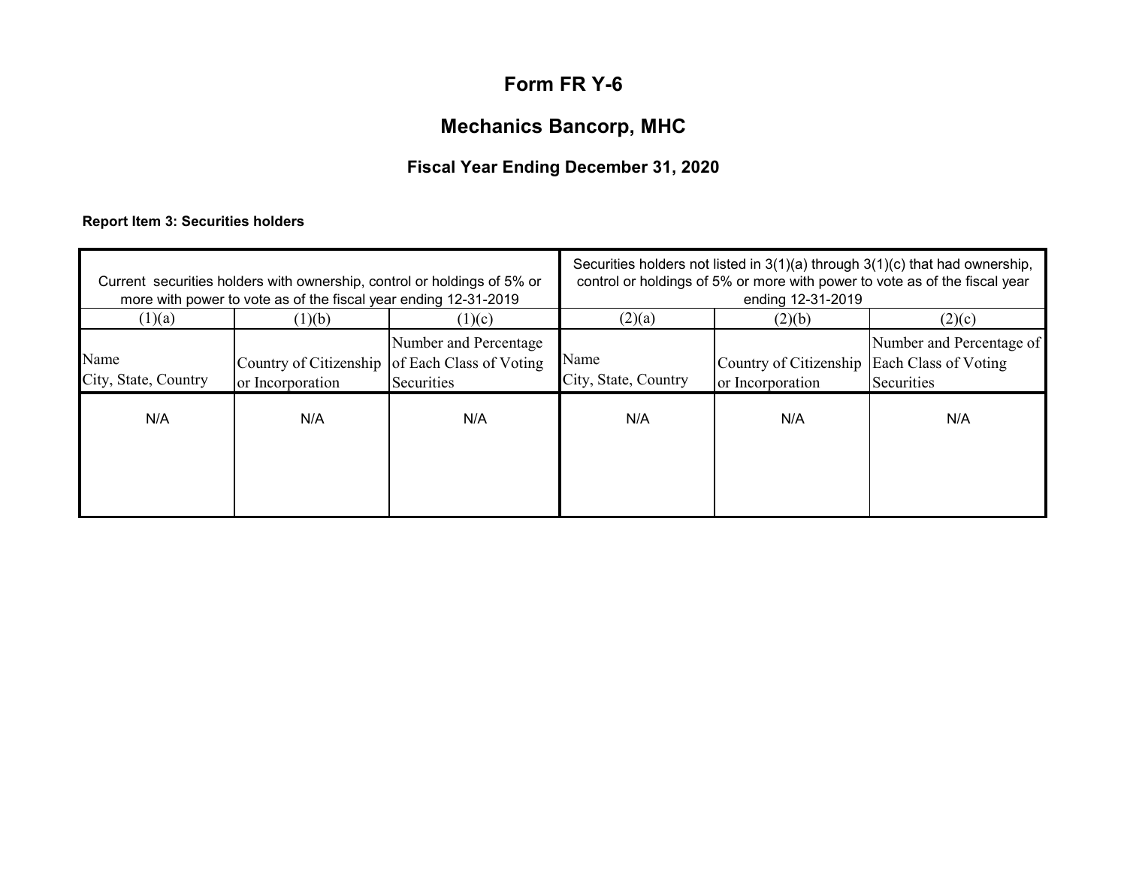# **Mechanics Bancorp, MHC**

# **Fiscal Year Ending December 31, 2020**

# **Report Item 3: Securities holders**

| (1)(a)                       | more with power to vote as of the fiscal year ending 12-31-2019<br>(1)(b) | Current securities holders with ownership, control or holdings of 5% or                         | Securities holders not listed in $3(1)(a)$ through $3(1)(c)$ that had ownership,<br>control or holdings of 5% or more with power to vote as of the fiscal year<br>ending 12-31-2019 |                                                                           |                                                  |  |  |
|------------------------------|---------------------------------------------------------------------------|-------------------------------------------------------------------------------------------------|-------------------------------------------------------------------------------------------------------------------------------------------------------------------------------------|---------------------------------------------------------------------------|--------------------------------------------------|--|--|
| Name<br>City, State, Country | or Incorporation                                                          | (1)(c)<br>Number and Percentage<br>Country of Citizenship of Each Class of Voting<br>Securities | (2)(a)<br>Name<br>City, State, Country                                                                                                                                              | (2)(b)<br>Country of Citizenship Each Class of Voting<br>or Incorporation | (2)(c)<br>Number and Percentage of<br>Securities |  |  |
| N/A                          | N/A                                                                       | N/A                                                                                             | N/A                                                                                                                                                                                 | N/A                                                                       | N/A                                              |  |  |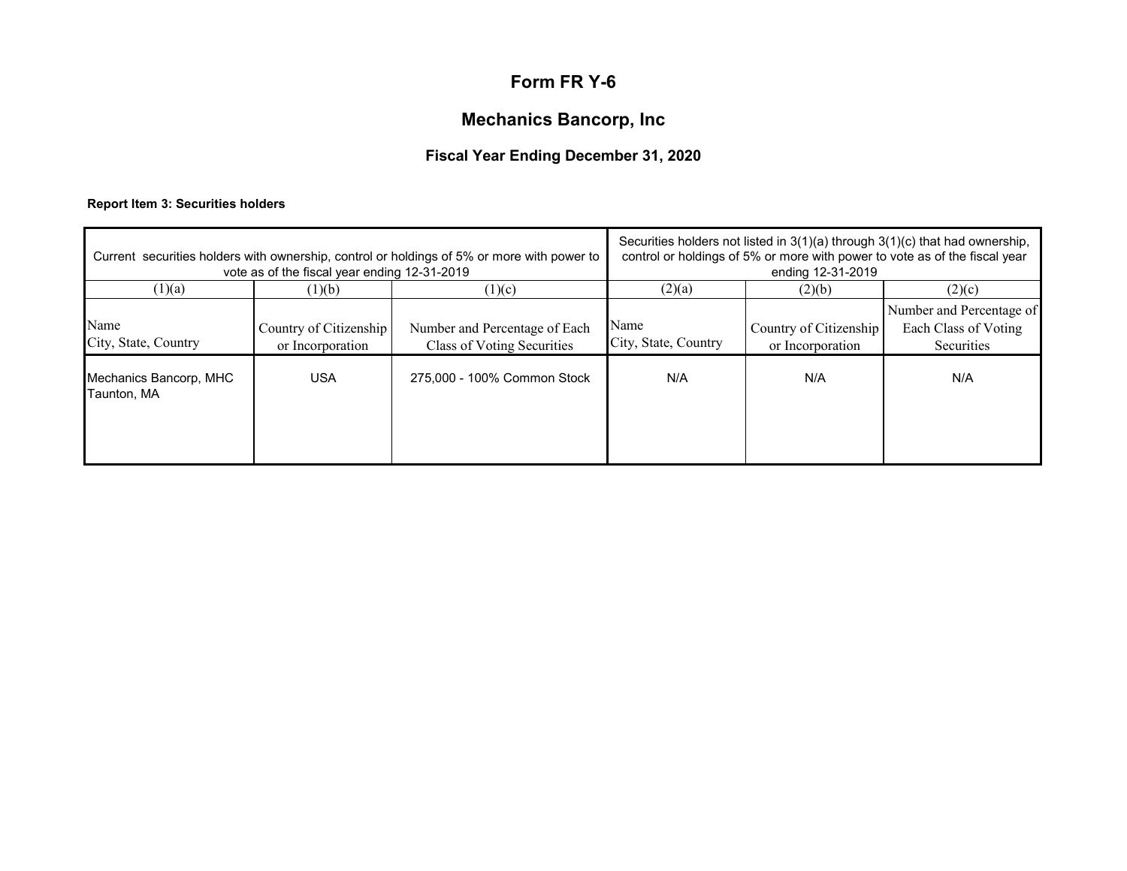# **Mechanics Bancorp, Inc**

# **Fiscal Year Ending December 31, 2020**

## **Report Item 3: Securities holders**

|                                       | vote as of the fiscal year ending 12-31-2019 | Current securities holders with ownership, control or holdings of 5% or more with power to | Securities holders not listed in $3(1)(a)$ through $3(1)(c)$ that had ownership,<br>control or holdings of 5% or more with power to vote as of the fiscal year<br>ending 12-31-2019 |                                            |                                                                |  |
|---------------------------------------|----------------------------------------------|--------------------------------------------------------------------------------------------|-------------------------------------------------------------------------------------------------------------------------------------------------------------------------------------|--------------------------------------------|----------------------------------------------------------------|--|
| (1)(a)                                | (1)(b)                                       | (1)(c)                                                                                     | (2)(a)                                                                                                                                                                              | (2)(b)                                     | (2)(c)                                                         |  |
| Name<br>City, State, Country          | Country of Citizenship<br>or Incorporation   | Number and Percentage of Each<br>Class of Voting Securities                                | Name<br>City, State, Country                                                                                                                                                        | Country of Citizenship<br>or Incorporation | Number and Percentage of<br>Each Class of Voting<br>Securities |  |
| Mechanics Bancorp, MHC<br>Taunton, MA | <b>USA</b>                                   | 275,000 - 100% Common Stock                                                                | N/A                                                                                                                                                                                 | N/A                                        | N/A                                                            |  |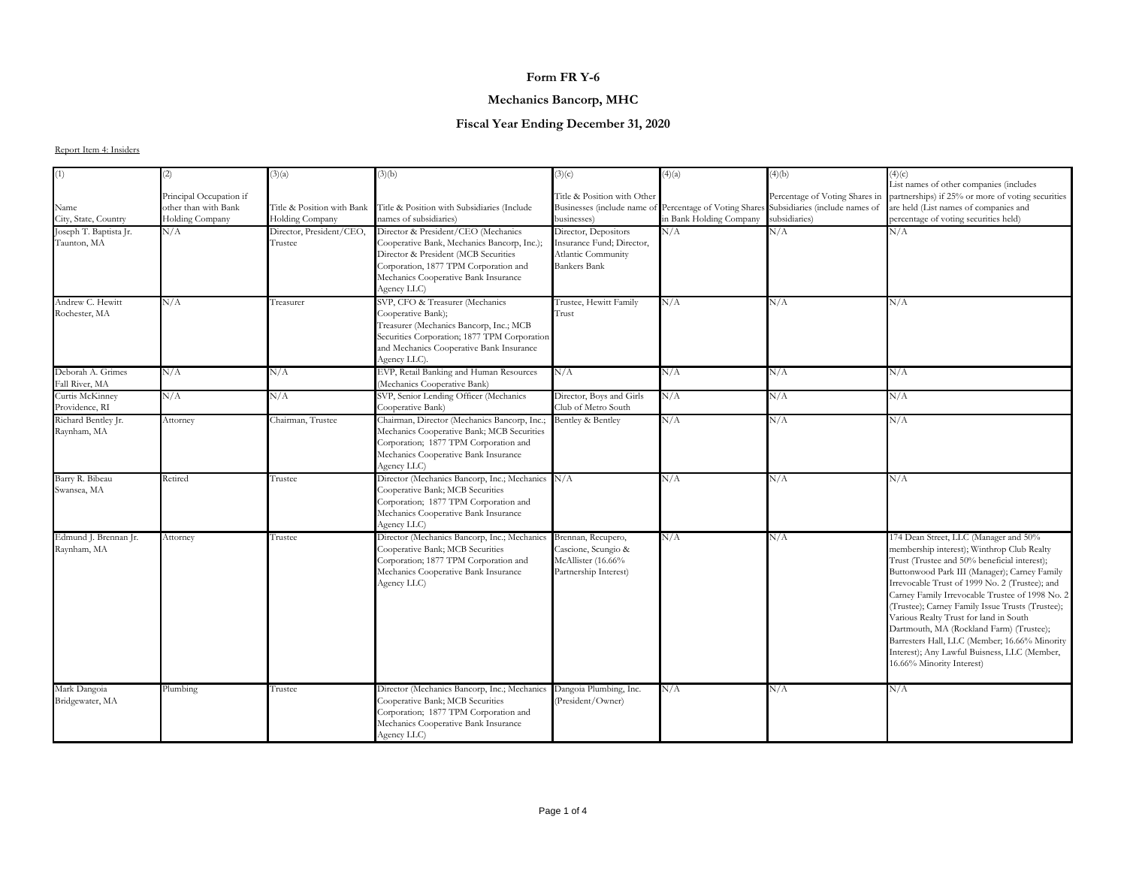## **Mechanics Bancorp, MHC**

## **Fiscal Year Ending December 31, 2020**

|                                       | (2)                                                                | (3)(a)                                        | (3)(b)                                                                                                                                                                                                                     | (3)(c)                                                                                         | (4)(a)                                                 | (4)(b)                                                                            | (4)(c)                                                                                                                                                                                                                                                                                                                                                                                                                                                                                                                                                           |
|---------------------------------------|--------------------------------------------------------------------|-----------------------------------------------|----------------------------------------------------------------------------------------------------------------------------------------------------------------------------------------------------------------------------|------------------------------------------------------------------------------------------------|--------------------------------------------------------|-----------------------------------------------------------------------------------|------------------------------------------------------------------------------------------------------------------------------------------------------------------------------------------------------------------------------------------------------------------------------------------------------------------------------------------------------------------------------------------------------------------------------------------------------------------------------------------------------------------------------------------------------------------|
| Name<br>City, State, Country          | Principal Occupation if<br>other than with Bank<br>Holding Company | Title & Position with Bank<br>Holding Company | Title & Position with Subsidiaries (Include<br>names of subsidiaries)                                                                                                                                                      | Title & Position with Other<br>Businesses (include name of<br>businesses)                      | Percentage of Voting Shares<br>in Bank Holding Company | Percentage of Voting Shares in<br>Subsidiaries (include names of<br>subsidiaries) | List names of other companies (includes<br>partnerships) if 25% or more of voting securities<br>are held (List names of companies and<br>percentage of voting securities held)                                                                                                                                                                                                                                                                                                                                                                                   |
| Joseph T. Baptista Jr.<br>Taunton, MA | N/A                                                                | Director, President/CEO,<br>Trustee           | Director & President/CEO (Mechanics<br>Cooperative Bank, Mechanics Bancorp, Inc.);<br>Director & President (MCB Securities<br>Corporation, 1877 TPM Corporation and<br>Mechanics Cooperative Bank Insurance<br>Agency LLC) | Director, Depositors<br>Insurance Fund; Director,<br>Atlantic Community<br><b>Bankers Bank</b> | N/A                                                    | N/A                                                                               | N/A                                                                                                                                                                                                                                                                                                                                                                                                                                                                                                                                                              |
| Andrew C. Hewitt<br>Rochester, MA     | N/A                                                                | Treasurer                                     | SVP, CFO & Treasurer (Mechanics<br>Cooperative Bank);<br>Treasurer (Mechanics Bancorp, Inc.; MCB<br>Securities Corporation; 1877 TPM Corporation<br>and Mechanics Cooperative Bank Insurance<br>Agency LLC).               | Trustee, Hewitt Family<br>Trust                                                                | N/A                                                    | N/A                                                                               | N/A                                                                                                                                                                                                                                                                                                                                                                                                                                                                                                                                                              |
| Deborah A. Grimes<br>Fall River, MA   | N/A                                                                | N/A                                           | EVP, Retail Banking and Human Resources<br>(Mechanics Cooperative Bank)                                                                                                                                                    | N/A                                                                                            | N/A                                                    | N/A                                                                               | N/A                                                                                                                                                                                                                                                                                                                                                                                                                                                                                                                                                              |
| Curtis McKinney<br>Providence, RI     | N/A                                                                | N/A                                           | SVP, Senior Lending Officer (Mechanics<br>Cooperative Bank)                                                                                                                                                                | Director, Boys and Girls<br>Club of Metro South                                                | N/A                                                    | N/A                                                                               | N/A                                                                                                                                                                                                                                                                                                                                                                                                                                                                                                                                                              |
| Richard Bentley Jr.<br>Raynham, MA    | Attorney                                                           | Chairman, Trustee                             | Chairman, Director (Mechanics Bancorp, Inc.;<br>Mechanics Cooperative Bank; MCB Securities<br>Corporation; 1877 TPM Corporation and<br>Mechanics Cooperative Bank Insurance<br>Agency LLC)                                 | Bentley & Bentley                                                                              | N/A                                                    | N/A                                                                               | N/A                                                                                                                                                                                                                                                                                                                                                                                                                                                                                                                                                              |
| Barry R. Bibeau<br>Swansea, MA        | Retired                                                            | Trustee                                       | Director (Mechanics Bancorp, Inc.; Mechanics<br>Cooperative Bank; MCB Securities<br>Corporation; 1877 TPM Corporation and<br>Mechanics Cooperative Bank Insurance<br>Agency LLC)                                           | N/A                                                                                            | N/A                                                    | N/A                                                                               | N/A                                                                                                                                                                                                                                                                                                                                                                                                                                                                                                                                                              |
| Edmund J. Brennan Jr.<br>Raynham, MA  | Attorney                                                           | Trustee                                       | Director (Mechanics Bancorp, Inc.; Mechanics<br>Cooperative Bank; MCB Securities<br>Corporation; 1877 TPM Corporation and<br>Mechanics Cooperative Bank Insurance<br>Agency LLC)                                           | Brennan, Recupero,<br>Cascione, Scungio &<br>McAllister (16.66%<br>Partnership Interest)       | N/A                                                    | N/A                                                                               | 174 Dean Street, LLC (Manager and 50%<br>membership interest); Winthrop Club Realty<br>Trust (Trustee and 50% beneficial interest);<br>Buttonwood Park III (Manager); Carney Family<br>Irrevocable Trust of 1999 No. 2 (Trustee); and<br>Carney Family Irrevocable Trustee of 1998 No. 2<br>(Trustee); Carney Family Issue Trusts (Trustee);<br>Various Realty Trust for land in South<br>Dartmouth, MA (Rockland Farm) (Trustee);<br>Barresters Hall, LLC (Member, 16.66% Minority<br>Interest); Any Lawful Buisness, LLC (Member,<br>16.66% Minority Interest) |
| Mark Dangoia<br>Bridgewater, MA       | Plumbing                                                           | Trustee                                       | Director (Mechanics Bancorp, Inc.; Mechanics<br>Cooperative Bank; MCB Securities<br>Corporation; 1877 TPM Corporation and<br>Mechanics Cooperative Bank Insurance<br>Agency LLC)                                           | Dangoia Plumbing, Inc.<br>(President/Owner)                                                    | N/A                                                    | N/A                                                                               | N/A                                                                                                                                                                                                                                                                                                                                                                                                                                                                                                                                                              |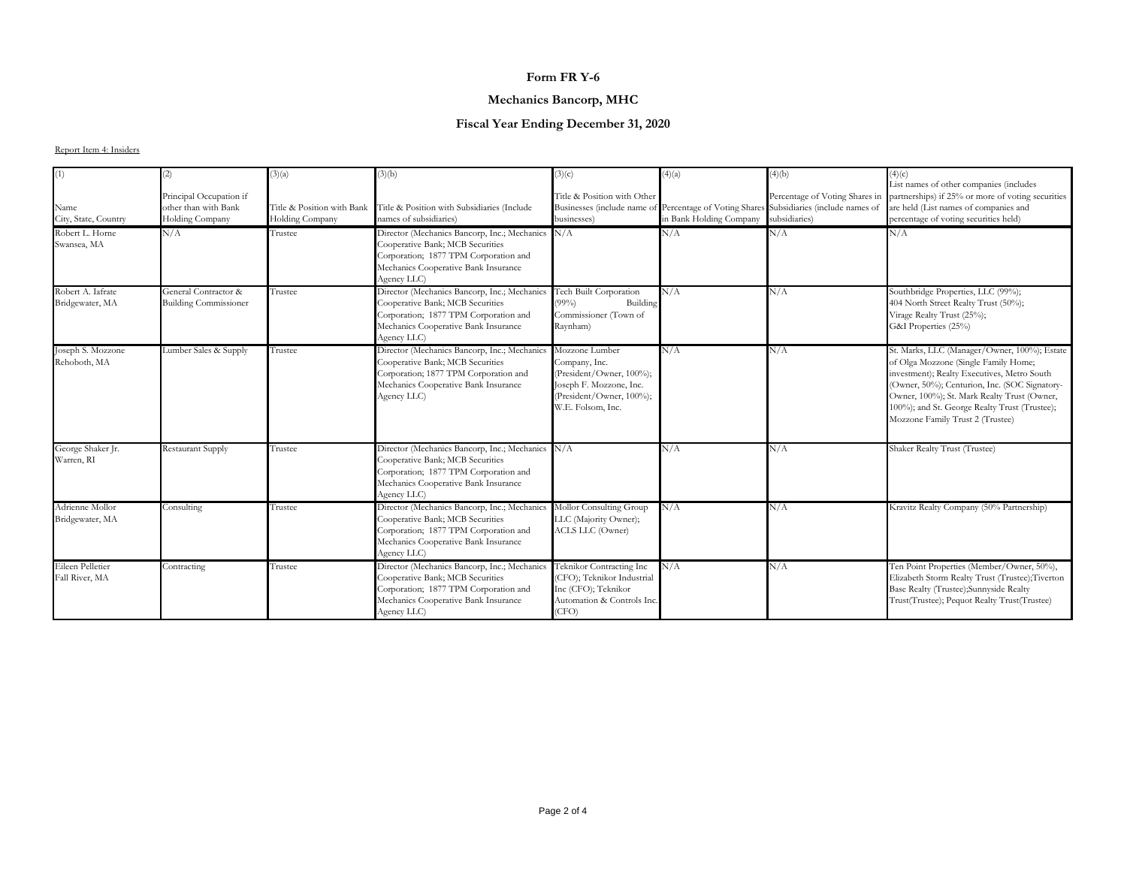#### **Mechanics Bancorp, MHC**

## **Fiscal Year Ending December 31, 2020**

| (1)                                  | (2)                                                                | (3)(a)                                        | (3)(b)                                                                                                                                                                               | (3)(c)                                                                                                                                  | (4)(a)                  | (4)(b)                                                                                                                                    | (4)(c)                                                                                                                                                                                                                                                                                                                   |
|--------------------------------------|--------------------------------------------------------------------|-----------------------------------------------|--------------------------------------------------------------------------------------------------------------------------------------------------------------------------------------|-----------------------------------------------------------------------------------------------------------------------------------------|-------------------------|-------------------------------------------------------------------------------------------------------------------------------------------|--------------------------------------------------------------------------------------------------------------------------------------------------------------------------------------------------------------------------------------------------------------------------------------------------------------------------|
| Name<br>City, State, Country         | Principal Occupation if<br>other than with Bank<br>Holding Company | Title & Position with Bank<br>Holding Company | Title & Position with Subsidiaries (Include<br>names of subsidiaries)                                                                                                                | Title & Position with Other<br>businesses)                                                                                              | in Bank Holding Company | Percentage of Voting Shares in<br>Businesses (include name of Percentage of Voting Shares Subsidiaries (include names of<br>subsidiaries) | List names of other companies (includes<br>partnerships) if 25% or more of voting securities<br>are held (List names of companies and<br>percentage of voting securities held)                                                                                                                                           |
| Robert L. Horne<br>Swansea, MA       | N/A                                                                | Trustee                                       | Director (Mechanics Bancorp, Inc.; Mechanics N/A<br>Cooperative Bank; MCB Securities<br>Corporation; 1877 TPM Corporation and<br>Mechanics Cooperative Bank Insurance<br>Agency LLC) |                                                                                                                                         | N/A                     | N/A                                                                                                                                       | N/A                                                                                                                                                                                                                                                                                                                      |
| Robert A. Iafrate<br>Bridgewater, MA | General Contractor &<br><b>Building Commissioner</b>               | Trustee                                       | Director (Mechanics Bancorp, Inc.; Mechanics<br>Cooperative Bank; MCB Securities<br>Corporation; 1877 TPM Corporation and<br>Mechanics Cooperative Bank Insurance<br>Agency LLC)     | <b>Tech Built Corporation</b><br>(99%)<br>Building<br>Commissioner (Town of<br>Raynham)                                                 | N/A                     | N/A                                                                                                                                       | Southbridge Properties, LLC (99%);<br>404 North Street Realty Trust (50%);<br>Virage Realty Trust (25%);<br>G&I Properties (25%)                                                                                                                                                                                         |
| Joseph S. Mozzone<br>Rehoboth, MA    | Lumber Sales & Supply                                              | Trustee                                       | Director (Mechanics Bancorp, Inc.; Mechanics<br>Cooperative Bank; MCB Securities<br>Corporation; 1877 TPM Corporation and<br>Mechanics Cooperative Bank Insurance<br>Agency LLC)     | Mozzone Lumber<br>Company, Inc.<br>(President/Owner, 100%);<br>Joseph F. Mozzone, Inc.<br>(President/Owner, 100%);<br>W.E. Folsom, Inc. | N/A                     | N/A                                                                                                                                       | St. Marks, LLC (Manager/Owner, 100%); Estate<br>of Olga Mozzone (Single Family Home;<br>investment); Realty Executives, Metro South<br>(Owner, 50%); Centurion, Inc. (SOC Signatory-<br>Owner, 100%); St. Mark Realty Trust (Owner,<br>100%); and St. George Realty Trust (Trustee);<br>Mozzone Family Trust 2 (Trustee) |
| George Shaker Jr.<br>Warren, RI      | <b>Restaurant Supply</b>                                           | Trustee                                       | Director (Mechanics Bancorp, Inc.; Mechanics N/A<br>Cooperative Bank; MCB Securities<br>Corporation; 1877 TPM Corporation and<br>Mechanics Cooperative Bank Insurance<br>Agency LLC) |                                                                                                                                         | N/A                     | N/A                                                                                                                                       | Shaker Realty Trust (Trustee)                                                                                                                                                                                                                                                                                            |
| Adrienne Mollor<br>Bridgewater, MA   | Consulting                                                         | Trustee                                       | Director (Mechanics Bancorp, Inc.; Mechanics<br>Cooperative Bank; MCB Securities<br>Corporation; 1877 TPM Corporation and<br>Mechanics Cooperative Bank Insurance<br>Agency LLC)     | Mollor Consulting Group<br>LLC (Majority Owner);<br>ACLS LLC (Owner)                                                                    | N/A                     | N/A                                                                                                                                       | Kravitz Realty Company (50% Partnership)                                                                                                                                                                                                                                                                                 |
| Eileen Pelletier<br>Fall River, MA   | Contracting                                                        | Trustee                                       | Director (Mechanics Bancorp, Inc.; Mechanics<br>Cooperative Bank; MCB Securities<br>Corporation; 1877 TPM Corporation and<br>Mechanics Cooperative Bank Insurance<br>Agency LLC)     | Teknikor Contracting Inc<br>(CFO); Teknikor Industrial<br>Inc (CFO); Teknikor<br>Automation & Controls Inc.<br>(CFO)                    | N/A                     | N/A                                                                                                                                       | Ten Point Properties (Member/Owner, 50%),<br>Elizabeth Storm Realty Trust (Trustee);Tiverton<br>Base Realty (Trustee);Sunnyside Realty<br>Trust(Trustee); Pequot Realty Trust(Trustee)                                                                                                                                   |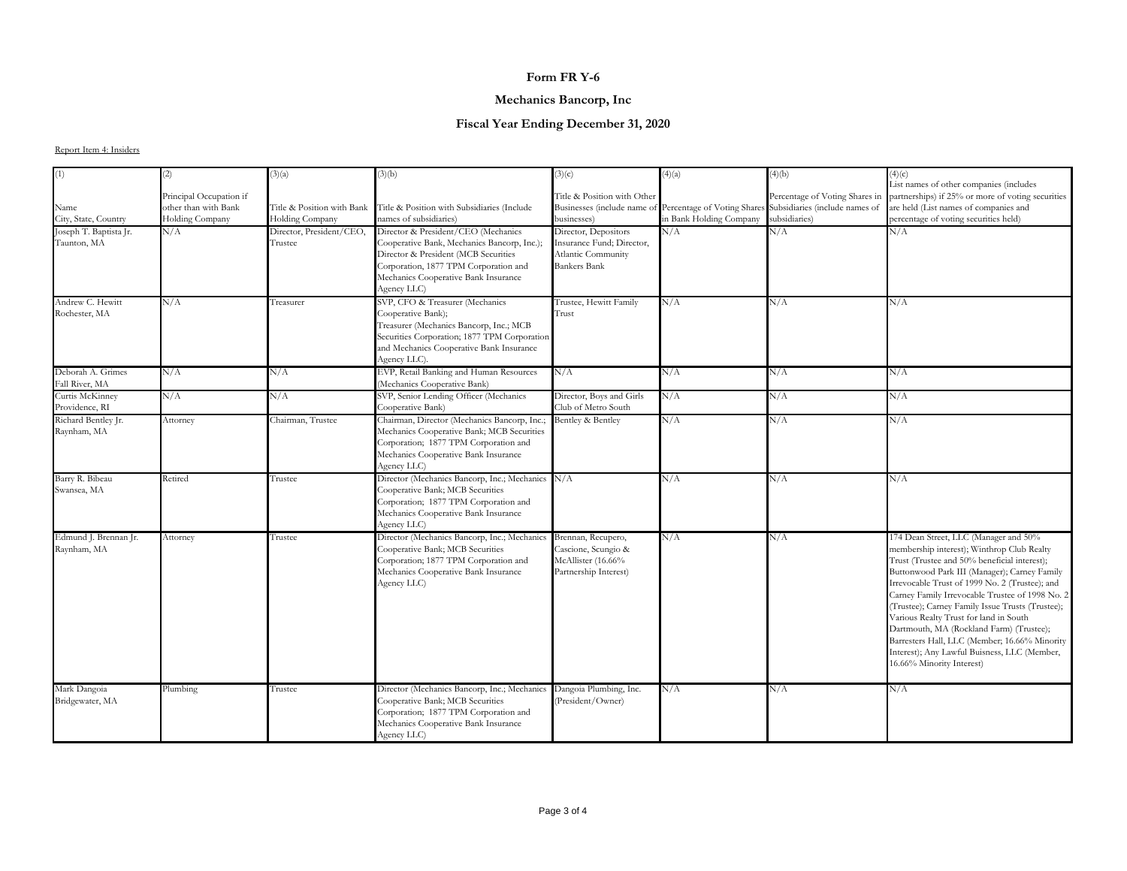## **Mechanics Bancorp, Inc**

## **Fiscal Year Ending December 31, 2020**

| (1)                                 | (2)                     | (3)(a)                     | (3)(b)                                                                  | (3)(c)                      | (4)(a)                      | (4)(b)                                          | (4)(c)                                                                                                                      |
|-------------------------------------|-------------------------|----------------------------|-------------------------------------------------------------------------|-----------------------------|-----------------------------|-------------------------------------------------|-----------------------------------------------------------------------------------------------------------------------------|
|                                     |                         |                            |                                                                         |                             |                             |                                                 | List names of other companies (includes<br>Percentage of Voting Shares in partnerships) if 25% or more of voting securities |
|                                     | Principal Occupation if |                            |                                                                         | Title & Position with Other |                             |                                                 |                                                                                                                             |
| Name                                | other than with Bank    | Title & Position with Bank | Title & Position with Subsidiaries (Include                             | Businesses (include name of | Percentage of Voting Shares | Subsidiaries (include names of<br>subsidiaries) | are held (List names of companies and                                                                                       |
| City, State, Country                | <b>Holding Company</b>  | Holding Company            | names of subsidiaries)                                                  | businesses)                 | in Bank Holding Company     |                                                 | percentage of voting securities held)                                                                                       |
| Joseph T. Baptista Jr.              | N/A                     | Director, President/CEO,   | Director & President/CEO (Mechanics                                     | Director, Depositors        | N/A                         | N/A                                             | N/A                                                                                                                         |
| Taunton, MA                         |                         | Trustee                    | Cooperative Bank, Mechanics Bancorp, Inc.);                             | Insurance Fund; Director,   |                             |                                                 |                                                                                                                             |
|                                     |                         |                            | Director & President (MCB Securities                                    | Atlantic Community          |                             |                                                 |                                                                                                                             |
|                                     |                         |                            | Corporation, 1877 TPM Corporation and                                   | <b>Bankers Bank</b>         |                             |                                                 |                                                                                                                             |
|                                     |                         |                            | Mechanics Cooperative Bank Insurance                                    |                             |                             |                                                 |                                                                                                                             |
|                                     |                         |                            | Agency LLC)                                                             |                             |                             |                                                 |                                                                                                                             |
| Andrew C. Hewitt                    | N/A                     | Treasurer                  | SVP, CFO & Treasurer (Mechanics                                         | Trustee, Hewitt Family      | N/A                         | N/A                                             | N/A                                                                                                                         |
| Rochester, MA                       |                         |                            | Cooperative Bank);                                                      | Trust                       |                             |                                                 |                                                                                                                             |
|                                     |                         |                            | Treasurer (Mechanics Bancorp, Inc.; MCB                                 |                             |                             |                                                 |                                                                                                                             |
|                                     |                         |                            | Securities Corporation; 1877 TPM Corporation                            |                             |                             |                                                 |                                                                                                                             |
|                                     |                         |                            | and Mechanics Cooperative Bank Insurance                                |                             |                             |                                                 |                                                                                                                             |
|                                     |                         |                            | Agency LLC)                                                             |                             |                             |                                                 |                                                                                                                             |
| Deborah A. Grimes<br>Fall River, MA | N/A                     | N/A                        | EVP, Retail Banking and Human Resources<br>(Mechanics Cooperative Bank) | N/A                         | N/A                         | N/A                                             | N/A                                                                                                                         |
| Curtis McKinney                     | N/A                     | N/A                        | SVP, Senior Lending Officer (Mechanics                                  | Director, Boys and Girls    | N/A                         | N/A                                             | N/A                                                                                                                         |
| Providence, RI                      |                         |                            | Cooperative Bank)                                                       | Club of Metro South         |                             |                                                 |                                                                                                                             |
| Richard Bentley Jr.                 | Attorney                | Chairman, Trustee          | Chairman, Director (Mechanics Bancorp, Inc.;                            | Bentley & Bentley           | N/A                         | N/A                                             | N/A                                                                                                                         |
| Raynham, MA                         |                         |                            | Mechanics Cooperative Bank; MCB Securities                              |                             |                             |                                                 |                                                                                                                             |
|                                     |                         |                            | Corporation; 1877 TPM Corporation and                                   |                             |                             |                                                 |                                                                                                                             |
|                                     |                         |                            | Mechanics Cooperative Bank Insurance                                    |                             |                             |                                                 |                                                                                                                             |
|                                     |                         |                            | Agency LLC)                                                             |                             |                             |                                                 |                                                                                                                             |
| Barry R. Bibeau                     | Retired                 | Trustee                    | Director (Mechanics Bancorp, Inc.; Mechanics                            | N/A                         | N/A                         | N/A                                             | N/A                                                                                                                         |
| Swansea, MA                         |                         |                            | Cooperative Bank; MCB Securities                                        |                             |                             |                                                 |                                                                                                                             |
|                                     |                         |                            | Corporation; 1877 TPM Corporation and                                   |                             |                             |                                                 |                                                                                                                             |
|                                     |                         |                            | Mechanics Cooperative Bank Insurance                                    |                             |                             |                                                 |                                                                                                                             |
|                                     |                         |                            | Agency LLC)                                                             |                             |                             |                                                 |                                                                                                                             |
| Edmund J. Brennan Jr.               | Attorney                | Trustee                    | Director (Mechanics Bancorp, Inc.; Mechanics                            | Brennan, Recupero,          | N/A                         | N/A                                             | 174 Dean Street, LLC (Manager and 50%                                                                                       |
| Raynham, MA                         |                         |                            | Cooperative Bank; MCB Securities                                        | Cascione, Scungio &         |                             |                                                 | membership interest); Winthrop Club Realty                                                                                  |
|                                     |                         |                            | Corporation; 1877 TPM Corporation and                                   | McAllister (16.66%          |                             |                                                 | Trust (Trustee and 50% beneficial interest);                                                                                |
|                                     |                         |                            | Mechanics Cooperative Bank Insurance                                    | Partnership Interest)       |                             |                                                 | Buttonwood Park III (Manager); Carney Family                                                                                |
|                                     |                         |                            | Agency LLC)                                                             |                             |                             |                                                 | Irrevocable Trust of 1999 No. 2 (Trustee); and                                                                              |
|                                     |                         |                            |                                                                         |                             |                             |                                                 | Carney Family Irrevocable Trustee of 1998 No. 2                                                                             |
|                                     |                         |                            |                                                                         |                             |                             |                                                 | (Trustee); Carney Family Issue Trusts (Trustee);                                                                            |
|                                     |                         |                            |                                                                         |                             |                             |                                                 | Various Realty Trust for land in South                                                                                      |
|                                     |                         |                            |                                                                         |                             |                             |                                                 | Dartmouth, MA (Rockland Farm) (Trustee);                                                                                    |
|                                     |                         |                            |                                                                         |                             |                             |                                                 | Barresters Hall, LLC (Member; 16.66% Minority                                                                               |
|                                     |                         |                            |                                                                         |                             |                             |                                                 | Interest); Any Lawful Buisness, LLC (Member,                                                                                |
|                                     |                         |                            |                                                                         |                             |                             |                                                 | 16.66% Minority Interest)                                                                                                   |
| Mark Dangoia                        | Plumbing                | Trustee                    | Director (Mechanics Bancorp, Inc.; Mechanics                            | Dangoia Plumbing, Inc.      | N/A                         | N/A                                             | N/A                                                                                                                         |
| Bridgewater, MA                     |                         |                            | Cooperative Bank; MCB Securities                                        | (President/Owner)           |                             |                                                 |                                                                                                                             |
|                                     |                         |                            | Corporation; 1877 TPM Corporation and                                   |                             |                             |                                                 |                                                                                                                             |
|                                     |                         |                            | Mechanics Cooperative Bank Insurance                                    |                             |                             |                                                 |                                                                                                                             |
|                                     |                         |                            | Agency LLC)                                                             |                             |                             |                                                 |                                                                                                                             |